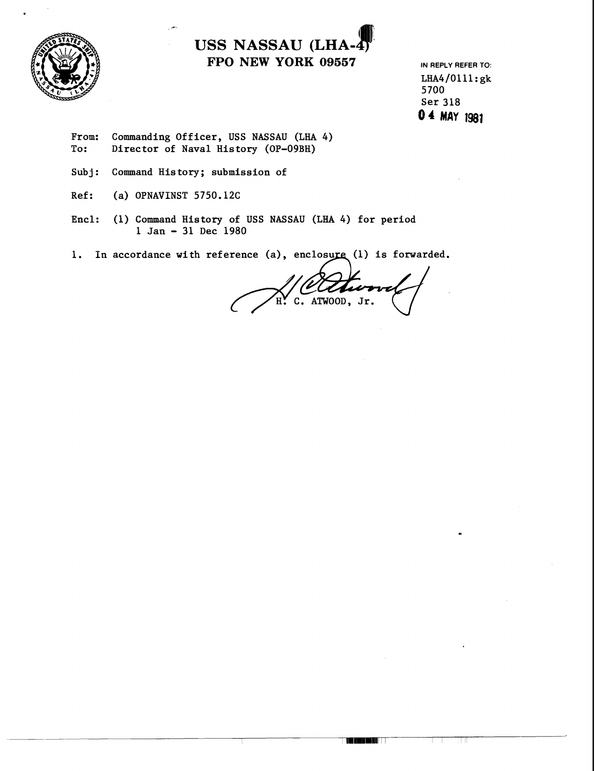



LHA4/0111:gk 5700 Ser 318 0 4 MAY 1981

- From: Commanding Officer, USS NASSAU (LHA 4)<br>To: Director of Naval History (OP-09BH) Director of Naval History (OP-09BH)
- Subj: Command History; submission of

-

- Ref: (a) OPNAVINST 5750.12C
- Encl: (1) Command History of USS NASSAU (LHA 4) for period 1 Jan - 31 Dec 1980
- 1. In accordance with reference (a), enclosure (1) is forwarded.

of USS NASSAU (LHA 4) for period<br>
180<br>
cence (a), enclosure (1) is forwarded.<br>
(Construction of the Construction of the Construction of the Construction of the Construction of the Constraints of the Constraints of the Cons

THE LETTER

3 M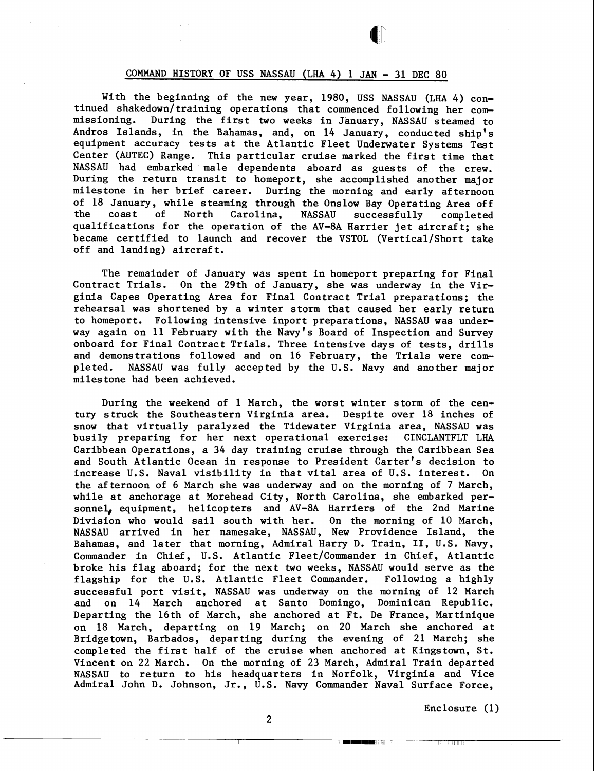## COMMAND HISTORY OF USS NASSAU (LHA 4) 1 JAN - 31 DEC 80

With the beginning of the new year, 1980, USS NASSAU (LHA 4) continued shakedown/training operations that commenced following her commissioning. During the first two weeks in January, NASSAU steamed to Andros Islands, in the Bahamas, and, on 14 January, conducted ship's equipment accuracy tests at the Atlantic Fleet Underwater Systems Test Center (AUTEC) Range. This particular cruise marked the first time that NASSAU had embarked male dependents aboard as guests of the crew. During the return transit to homeport, she accomplished another major milestone in her brief career. During the morning and early af ternoon of 18 January, while steaming through the Onslow Bay Operating Area off the coast of North Carolina, NASSAU successfully completed qualifications for the operation of the AV-8A Harrier jet aircraft; she became certified to launch and recover the VSTOL (Vertical/Short take off and landing) aircraft.

The remainder of January was spent in homeport preparing for Final Contract Trials. On the 29th of January, she was underway in the Virginia Capes Operating Area for Final Contract Trial preparations; the rehearsal was shortened by a winter storm that caused her early return to homeport. Following intensive inport preparations, NASSAU was underway again on 11 February with the Navy's Board of Inspection and Survey onboard for Final Contract Trials. Three intensive days of tests, drills and demonstrations followed and on 16 February, the Trials were completed. NASSAU was fully accepted by the U.S. Navy and another major milestone had been achieved.

During the weekend of 1 March, the worst winter storm of the century struck the Southeastern Virginia area. Despite over 18 inches of snow that virtually paralyzed the Tidewater Virginia area, NASSAU was<br>busily preparing for her next operational exercise: CINCLANTFLT LHA busily preparing for her next operational exercise: Caribbean Operations, a 34 day training cruise through the Caribbean Sea and South Atlantic Ocean in response to President Carter's decision to increase U.S. Naval visibility in that vital area of U.S. interest. On the afternoon of 6 March she was underway and on the morning of 7 March, while at anchorage at Morehead City, North Carolina, she embarked personnel, equipment, helicopters and AV-8A Harriers of the 2nd Marine Division who would sail south with her. On the morning of 10 March, NASSAU arrived in her namesake, NASSAU, New Providence Island, the Bahamas, and later that morning, Admiral Harry D. Train, 11, U.S. Navy, Commander in Chief, U.S. Atlantic Fleet/Commander in Chief, Atlantic broke his flag aboard; for the next two weeks, NASSAU would serve as the flagship for the U.S. Atlantic Fleet Commander. Following a highly successful port visit, NASSAU was underway on the morning of 12 March and on 14 March anchored at Santo Domingo, Dominican Republic. Departing the 16th of March, she anchored at Ft. De France, Martinique on 18 March, departing on 19 March; on 20 March she anchored at Bridgetown, Barbados, departing during the evening of 21 March; she completed the first half of the cruise when anchored at Kingstown, St. Vincent on 22 March. On the morning of 23 March, Admiral Train departed NASSAU to return to his headquarters in Norfolk, Virginia and Vice Admiral John D. Johnson, Jr., U.S. Navy Commander Naval Surface Force,

Enclosure (1)

2

<u>a kacamatan ing Pa</u>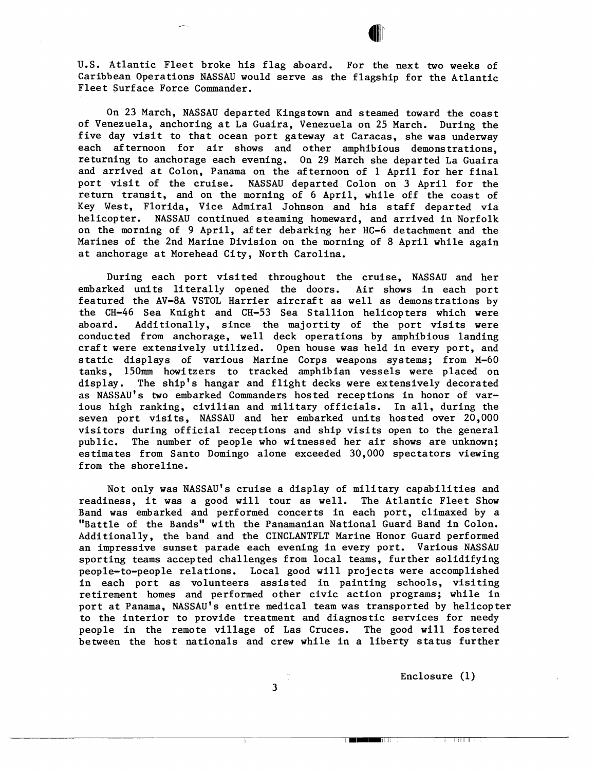

U.S. Atlantic Fleet broke his flag aboard. For the next two weeks of Caribbean Operations NASSAU would serve as the flagship for the Atlantic Fleet Surface Force Commander.

On 23 March, NASSAU departed Kingstown and steamed toward the coast of Venezuela, anchoring at La Guaira, Venezuela on 25 March. During the five day visit to that ocean port gateway at Caracas, she was underway each af ternoon for air shows and other amphibious demonstrations, returning to anchorage each evening. On 29 March she departed La Guaira and arrived at Colon, Panama on the afternoon of 1 April for her final port visit of the cruise. NASSAU departed Colon on 3 April for the return transit, and on the morning of 6 April, while off the coast of Key West, Florida, Vice Admiral Johnson and his staff departed via helicopter. NASSAU continued steaming homeward, and arrived in Norfolk on the morning of 9 April, after debarking her HC-6 detachment and the Marines of the 2nd Marine Division on the morning of 8 April while again at anchorage at Morehead City, North Carolina.

During each port visited throughout the cruise, NASSAU and her embarked units literally opened the doors. Air shows in each port featured the AV-8A VSTOL Harrier aircraft as well as demonstrations by the CH-46 Sea Knight and CH-53 Sea Stallion helicopters which were aboard. Additionally, since the majortity of the port visits were conducted from anchorage, well deck operations by amphibious landing craft were extensively utilized. Open house was held in every port, and static displays of various Marine Corps weapons systems; from M-60 tanks, 150mm howitzers to tracked amphibian vessels were placed on display. The ship's hangar and flight decks were extensively decorated as NASSAU'S two embarked Commanders hosted receptions in honor of various high ranking, civilian and military officials. In all, during the seven port visits, NASSAU and her embarked units hosted over 20,000 visitors during official receptions and ship visits open to the general public. The number of people who witnessed her air shows are unknown; estimates from Santo Domingo alone exceeded 30,000 spectators viewing from the shoreline.

Not only was NASSAU'S cruise a display of military capabilities and readiness, it was a good will tour as well. The Atlantic Fleet Show Band was embarked and performed concerts in each port, climaxed by a "Battle of the Bands" with the Panamanian National Guard Band in Colon. Additionally, the band and the CINCLANTFLT Marine Honor Guard performed an impressive sunset parade each evening in every port. Various NASSAU sporting teams accepted challenges from local teams, further solidifying people-to-people relations. Local good will projects were accomplished in each port as volunteers assisted in painting schools, visiting retirement homes and performed other civic action programs; while in port at Panama, NASSAU'S entire medical team was transported by helicopter to the interior to provide treatment and diagnostic services for needy people in the remote village of Las Cruces. The good will fostered between the host nationals and crew while in a liberty status further

Enclosure (1)

The Country of the Country of the

**3**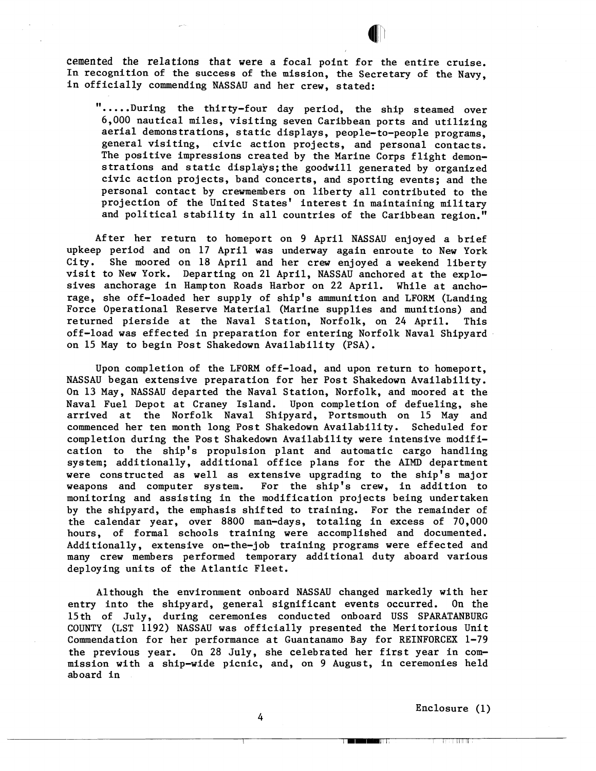cemented the relations that were a focal point for the entire cruise. In recognition of the success of the mission, the Secretary of the Navy, in officially commending NASSAU and her crew, stated:

<sup>11</sup>. . . . .During the thirty-four day period, the ship steamed over 6,000 nautical miles, visiting seven Caribbean ports and utilizing aerial demonstrations, static displays, people-to-people programs, general visiting, civic action projects, and personal contacts. The positive impressions created by the Marine Corps flight demonstrations and static disp1ays;the goodwill generated by organized civic action projects, band concerts, and sporting events; and the personal contact by crewmembers on liberty all contributed to the projection of the United states' interest in maintaining military and political stability in all countries of the Caribbean region."

After her return to homeport on 9 April NASSAU enjoyed a brief upkeep period and on 17 April was underway again enroute to New York City. She moored on 18 April and her crew enjoyed a weekend liberty visit to New York. Departing on 21 April, NASSAU anchored at the explosives anchorage in Hampton Roads Harbor on 22 April. While at anchorage, she off-loaded her supply of ship's ammunition and LFORM (Landing Force Operational Reserve Material (Marine supplies and munitions) and returned pierside at the Naval Station, Norfolk, on 24 April. This off-load was effected in preparation for entering Norfolk Naval Shipyard on 15 May to begin Post Shakedown Availability (PSA).

Upon completion of the LFORM off-load, and upon return to homeport, NASSAU began extensive preparation for her Post Shakedown Availability. On 13 May, NASSAU departed the Naval Station, Norfolk, and moored at the Naval Fuel Depot at Craney Island. Upon completion of defueling, she arrived at the Norfolk Naval Shipyard, Portsmouth on 15 May and commenced her ten month long Post Shakedown Availability. Scheduled for completion during the Post Shakedown Availability were intensive modification to the ship's propulsion plant and automatic cargo handling system; additionally, additional office plans for the AIMD department were constructed as well as extensive upgrading to the ship's major weapons and computer system. For the ship's crew, in addition to monitoring and assisting in the modification projects being undertaken by the shipyard, the emphasis shifted to training. For the remainder of the calendar year, over 8800 man-days, totaling in excess of 70,000 hours, of formal schools training were accomplished and documented. Additionally, extensive on-the-job training programs were effected and many crew members performed temporary additional duty aboard various deploying units of the Atlantic Fleet.

Although the environment onboard NASSAU changed markedly with her entry into the shipyard, general significant events occurred. On the 15 th of July, during ceremonies conducted onboard USS SPARATANBURG COUNTY (LST 1192) NASSAU was officially presented the Meritorious Unit Commendation for her performance at Guantanamo Bay for REINFORCEX 1-79 the previous year. On 28 July, she celebrated her first year in commission with a ship-wide picnic, and, on **9** August, in ceremonies held aboard in

Enclosure (1)

**TEST TRITTS** 

The Library of Section

4